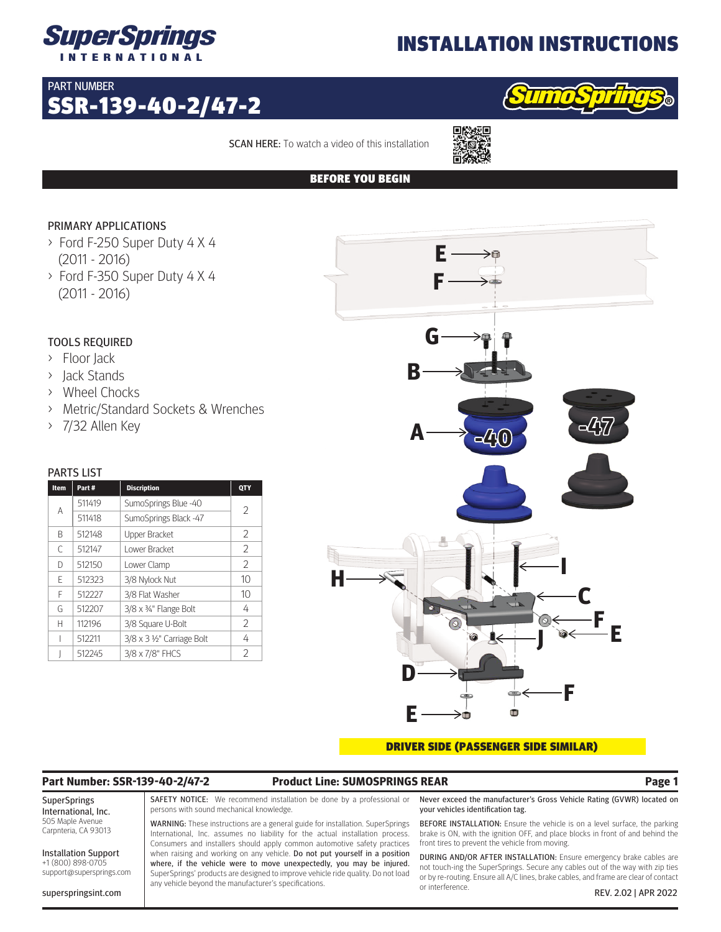

## INSTALLATION INSTRUCTIONS

## PART NUMBER

# SSR-139-40-2/47-2



SCAN HERE: To watch a video of this installation



## BEFORE YOU BEGIN

## PRIMARY APPLICATIONS

- > Ford F-250 Super Duty 4 X 4 (2011 - 2016)
- > Ford F-350 Super Duty 4 X 4 (2011 - 2016)

## TOOLS REQUIRED

- > Floor Jack
- > Jack Stands
- > Wheel Chocks
- > Metric/Standard Sockets & Wrenches
- > 7/32 Allen Key

### PARTS LIST

| Item | Part#  | <b>Discription</b>         | QTY            |
|------|--------|----------------------------|----------------|
| A    | 511419 | SumoSprings Blue -40       | $\mathfrak{D}$ |
|      | 511418 | SumoSprings Black -47      |                |
| B    | 512148 | <b>Upper Bracket</b>       | 2              |
| C    | 512147 | Lower Bracket              | 2              |
| D    | 512150 | Lower Clamp                | 2              |
| F    | 512323 | 3/8 Nylock Nut             | 10             |
| F    | 512227 | 3/8 Flat Washer            | 10             |
| G    | 512207 | 3/8 x 34" Flange Bolt      | 4              |
| Н    | 112196 | 3/8 Square U-Bolt          | 2              |
|      | 512211 | 3/8 x 3 1/2" Carriage Bolt | 4              |
|      | 512245 | 3/8 x 7/8" FHCS            | $\mathfrak{D}$ |



### DRIVER SIDE (PASSENGER SIDE SIMILAR)

## **Part Number: SSR-139-40-2/47-2 Product Line: SUMOSPRINGS REAR Page 1**

SuperSprings International, Inc. 505 Maple Avenue Carpnteria, CA 93013

Installation Support +1 (800) 898-0705 support@supersprings.com

superspringsint.com

SAFETY NOTICE: We recommend installation be done by a professional or persons with sound mechanical knowledge.

WARNING: These instructions are a general guide for installation. SuperSprings International, Inc. assumes no liability for the actual installation process. Consumers and installers should apply common automotive safety practices when raising and working on any vehicle. Do not put yourself in a position where, if the vehicle were to move unexpectedly, you may be injured. SuperSprings' products are designed to improve vehicle ride quality. Do not load any vehicle beyond the manufacturer's specifications.

Never exceed the manufacturer's Gross Vehicle Rating (GVWR) located on your vehicles identification tag.

BEFORE INSTALLATION: Ensure the vehicle is on a level surface, the parking brake is ON, with the ignition OFF, and place blocks in front of and behind the front tires to prevent the vehicle from moving.

DURING AND/OR AFTER INSTALLATION: Ensure emergency brake cables are not touch-ing the SuperSprings. Secure any cables out of the way with zip ties or by re-routing. Ensure all A/C lines, brake cables, and frame are clear of contact or interference. REV. 2.02 | APR 2022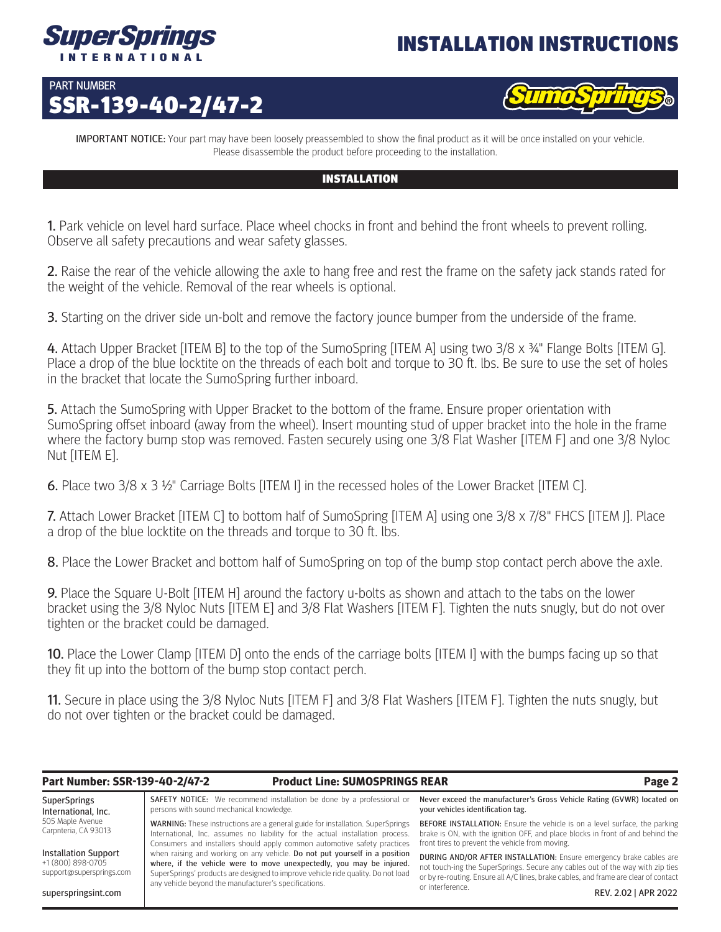

## INSTALLATION INSTRUCTIONS

## PART NUMBER SSR-139-40-2/47-2



**IMPORTANT NOTICE:** Your part may have been loosely preassembled to show the final product as it will be once installed on your vehicle. Please disassemble the product before proceeding to the installation.

## INSTALLATION

1. Park vehicle on level hard surface. Place wheel chocks in front and behind the front wheels to prevent rolling. Observe all safety precautions and wear safety glasses.

2. Raise the rear of the vehicle allowing the axle to hang free and rest the frame on the safety jack stands rated for the weight of the vehicle. Removal of the rear wheels is optional.

3. Starting on the driver side un-bolt and remove the factory jounce bumper from the underside of the frame.

4. Attach Upper Bracket [ITEM B] to the top of the SumoSpring [ITEM A] using two 3/8 x 34" Flange Bolts [ITEM G]. Place a drop of the blue locktite on the threads of each bolt and torque to 30 ft. lbs. Be sure to use the set of holes in the bracket that locate the SumoSpring further inboard.

5. Attach the SumoSpring with Upper Bracket to the bottom of the frame. Ensure proper orientation with SumoSpring offset inboard (away from the wheel). Insert mounting stud of upper bracket into the hole in the frame where the factory bump stop was removed. Fasten securely using one 3/8 Flat Washer [ITEM F] and one 3/8 Nyloc Nut [ITEM E].

6. Place two 3/8 x 3 ½" Carriage Bolts [ITEM I] in the recessed holes of the Lower Bracket [ITEM C].

7. Attach Lower Bracket [ITEM C] to bottom half of SumoSpring [ITEM A] using one 3/8 x 7/8" FHCS [ITEM J]. Place a drop of the blue locktite on the threads and torque to 30 ft. lbs.

8. Place the Lower Bracket and bottom half of SumoSpring on top of the bump stop contact perch above the axle.

9. Place the Square U-Bolt [ITEM H] around the factory u-bolts as shown and attach to the tabs on the lower bracket using the 3/8 Nyloc Nuts [ITEM E] and 3/8 Flat Washers [ITEM F]. Tighten the nuts snugly, but do not over tighten or the bracket could be damaged.

10. Place the Lower Clamp [ITEM D] onto the ends of the carriage bolts [ITEM I] with the bumps facing up so that they fit up into the bottom of the bump stop contact perch.

11. Secure in place using the 3/8 Nyloc Nuts [ITEM F] and 3/8 Flat Washers [ITEM F]. Tighten the nuts snugly, but do not over tighten or the bracket could be damaged.

superspringsint.com

### **Part Number: SSR-139-40-2/47-2 Product Line: SUMOSPRINGS REAR Page 2**

**SuperSprings** International, Inc. 505 Maple Avenue Carpnteria, CA 93013 Installation Support +1 (800) 898-0705 support@supersprings.com SAFETY NOTICE: We recommend installation be done by a professional or persons with sound mechanical knowledge. WARNING: These instructions are a general guide for installation. SuperSprings International, Inc. assumes no liability for the actual installation process. Consumers and installers should apply common automotive safety practices when raising and working on any vehicle. Do not put yourself in a position where, if the vehicle were to move unexpectedly, you may be injured. SuperSprings' products are designed to improve vehicle ride quality. Do not load any vehicle beyond the manufacturer's specifications. Never exceed the manufacturer's Gross Vehicle Rating (GVWR) located on your vehicles identification tag. BEFORE INSTALLATION: Ensure the vehicle is on a level surface, the parking brake is ON, with the ignition OFF, and place blocks in front of and behind the front tires to prevent the vehicle from moving. DURING AND/OR AFTER INSTALLATION: Ensure emergency brake cables are not touch-ing the SuperSprings. Secure any cables out of the way with zip ties or by re-routing. Ensure all A/C lines, brake cables, and frame are clear of contact

or interference. REV. 2.02 | APR 2022